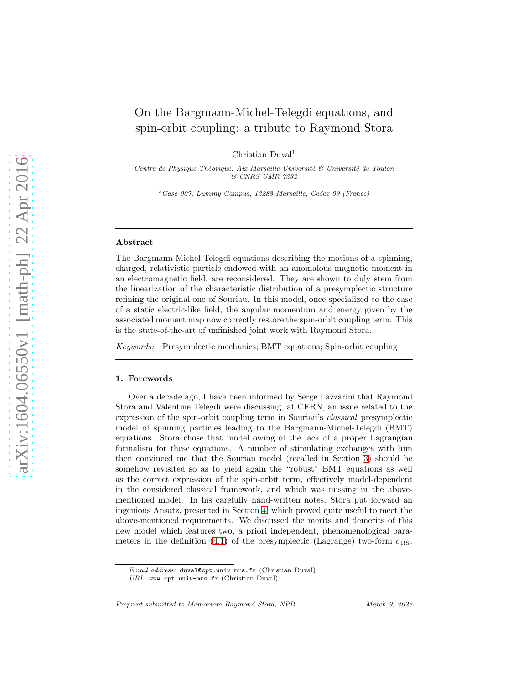# On the Bargmann-Michel-Telegdi equations, and spin-orbit coupling: a tribute to Raymond Stora

Christian Duval<sup>1</sup>

Centre de Physique Théorique, Aix Marseille Université  $\mathcal{C}$  Université de Toulon & CNRS UMR 7332

<sup>a</sup>Case 907, Luminy Campus, 13288 Marseille, Cedex 09 (France)

### Abstract

The Bargmann-Michel-Telegdi equations describing the motions of a spinning, charged, relativistic particle endowed with an anomalous magnetic moment in an electromagnetic field, are reconsidered. They are shown to duly stem from the linearization of the characteristic distribution of a presymplectic structure refining the original one of Souriau. In this model, once specialized to the case of a static electric-like field, the angular momentum and energy given by the associated moment map now correctly restore the spin-orbit coupling term. This is the state-of-the-art of unfinished joint work with Raymond Stora.

Keywords: Presymplectic mechanics; BMT equations; Spin-orbit coupling

### 1. Forewords

Over a decade ago, I have been informed by Serge Lazzarini that Raymond Stora and Valentine Telegdi were discussing, at CERN, an issue related to the expression of the spin-orbit coupling term in Souriau's classical presymplectic model of spinning particles leading to the Bargmann-Michel-Telegdi (BMT) equations. Stora chose that model owing of the lack of a proper Lagrangian formalism for these equations. A number of stimulating exchanges with him then convinced me that the Souriau model (recalled in Section [3\)](#page-2-0) should be somehow revisited so as to yield again the "robust" BMT equations as well as the correct expression of the spin-orbit term, effectively model-dependent in the considered classical framework, and which was missing in the abovementioned model. In his carefully hand-written notes, Stora put forward an ingenious Ansatz, presented in Section [4,](#page-3-0) which proved quite useful to meet the above-mentioned requirements. We discussed the merits and demerits of this new model which features two, a priori independent, phenomenological para-meters in the definition [\(4.1\)](#page-3-1) of the presymplectic (Lagrange) two-form  $\sigma_{\text{RS}}$ .

Email address: duval@cpt.univ-mrs.fr (Christian Duval)

URL: www.cpt.univ-mrs.fr (Christian Duval)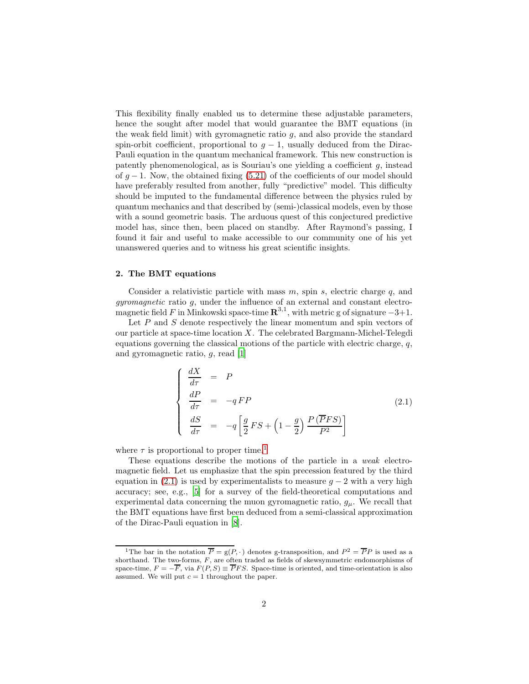This flexibility finally enabled us to determine these adjustable parameters, hence the sought after model that would guarantee the BMT equations (in the weak field limit) with gyromagnetic ratio g, and also provide the standard spin-orbit coefficient, proportional to  $g - 1$ , usually deduced from the Dirac-Pauli equation in the quantum mechanical framework. This new construction is patently phenomenological, as is Souriau's one yielding a coefficient g, instead of  $g - 1$ . Now, the obtained fixing [\(5.21\)](#page-9-0) of the coefficients of our model should have preferably resulted from another, fully "predictive" model. This difficulty should be imputed to the fundamental difference between the physics ruled by quantum mechanics and that described by (semi-)classical models, even by those with a sound geometric basis. The arduous quest of this conjectured predictive model has, since then, been placed on standby. After Raymond's passing, I found it fair and useful to make accessible to our community one of his yet unanswered queries and to witness his great scientific insights.

# 2. The BMT equations

Consider a relativistic particle with mass  $m$ , spin  $s$ , electric charge  $q$ , and gyromagnetic ratio g, under the influence of an external and constant electromagnetic field F in Minkowski space-time  $\mathbb{R}^{3,1}$ , with metric g of signature  $-3+1$ .

Let  $P$  and  $S$  denote respectively the linear momentum and spin vectors of our particle at space-time location  $X$ . The celebrated Bargmann-Michel-Telegdi equations governing the classical motions of the particle with electric charge,  $q$ , and gyromagnetic ratio, g, read [\[1\]](#page-11-0)

<span id="page-1-1"></span>
$$
\begin{cases}\n\frac{dX}{d\tau} = P \\
\frac{dP}{d\tau} = -qFP \\
\frac{dS}{d\tau} = -q\left[\frac{g}{2}FS + \left(1 - \frac{g}{2}\right)\frac{P(\overline{P}FS)}{P^2}\right]\n\end{cases}
$$
\n(2.1)

where  $\tau$  is proportional to proper time.<sup>[1](#page-1-0)</sup>

These equations describe the motions of the particle in a weak electromagnetic field. Let us emphasize that the spin precession featured by the third equation in [\(2.1\)](#page-1-1) is used by experimentalists to measure  $q - 2$  with a very high accuracy; see, e.g., [\[5\]](#page-11-1) for a survey of the field-theoretical computations and experimental data concerning the muon gyromagnetic ratio,  $g_{\mu}$ . We recall that the BMT equations have first been deduced from a semi-classical approximation of the Dirac-Pauli equation in [\[8](#page-11-2)].

<span id="page-1-0"></span><sup>&</sup>lt;sup>1</sup>The bar in the notation  $\overline{P} = g(P, \cdot)$  denotes g-transposition, and  $P^2 = \overline{P}P$  is used as a shorthand. The two-forms,  $F$ , are often traded as fields of skewsymmetric endomorphisms of space-time,  $F = -\overline{F}$ , via  $F(P, S) \equiv \overline{P} F S$ . Space-time is oriented, and time-orientation is also assumed. We will put  $c = 1$  throughout the paper.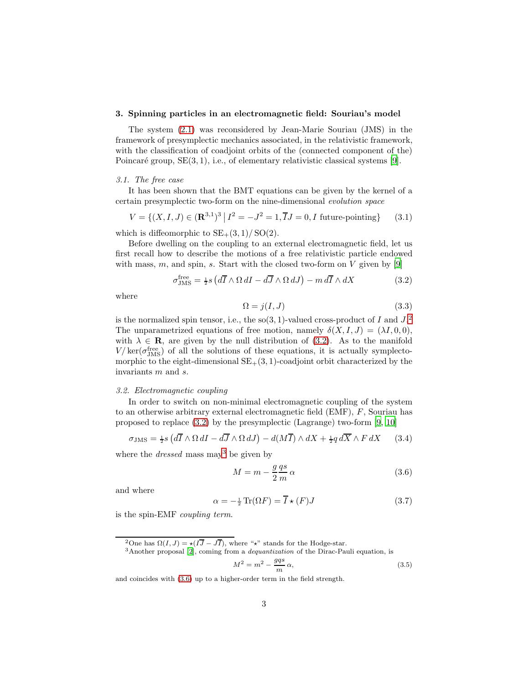### <span id="page-2-0"></span>3. Spinning particles in an electromagnetic field: Souriau's model

The system [\(2.1\)](#page-1-1) was reconsidered by Jean-Marie Souriau (JMS) in the framework of presymplectic mechanics associated, in the relativistic framework, with the classification of coadjoint orbits of the (connected component of the) Poincaré group,  $SE(3, 1)$ , i.e., of elementary relativistic classical systems [\[9](#page-11-3)].

#### 3.1. The free case

It has been shown that the BMT equations can be given by the kernel of a certain presymplectic two-form on the nine-dimensional evolution space

<span id="page-2-6"></span>
$$
V = \{(X, I, J) \in (\mathbf{R}^{3,1})^3 \mid I^2 = -J^2 = 1, \overline{I}J = 0, I \text{ future-pointing}\}\
$$
 (3.1)

which is diffeomorphic to  $SE_{+}(3,1)/SO(2)$ .

Before dwelling on the coupling to an external electromagnetic field, let us first recall how to describe the motions of a free relativistic particle endowed with mass, m, and spin, s. Start with the closed two-form on V given by  $[9]$ 

<span id="page-2-2"></span>
$$
\sigma_{\text{JMS}}^{\text{free}} = \frac{1}{2}s \left( d\overline{I} \wedge \Omega dI - d\overline{J} \wedge \Omega dJ \right) - m d\overline{I} \wedge dX \tag{3.2}
$$

where

<span id="page-2-7"></span>
$$
\Omega = j(I, J) \tag{3.3}
$$

is the normalized spin tensor, i.e., the  $so(3, 1)$ -valued cross-product of I and  $J^2$  $J^2$ . The unparametrized equations of free motion, namely  $\delta(X, I, J) = (\lambda I, 0, 0)$ , with  $\lambda \in \mathbf{R}$ , are given by the null distribution of [\(3.2\)](#page-2-2). As to the manifold  $V / \text{ker}(\sigma_{\text{JMS}}^{\text{free}})$  of all the solutions of these equations, it is actually symplectomorphic to the eight-dimensional  $SE_{+}(3, 1)$ -coadjoint orbit characterized by the invariants m and s.

#### 3.2. Electromagnetic coupling

In order to switch on non-minimal electromagnetic coupling of the system to an otherwise arbitrary external electromagnetic field (EMF), F, Souriau has proposed to replace [\(3.2\)](#page-2-2) by the presymplectic (Lagrange) two-form [\[9](#page-11-3), [10](#page-11-4)]

<span id="page-2-5"></span>
$$
\sigma_{\text{JMS}} = \frac{1}{2} s \left( d\overline{I} \wedge \Omega \, dI - d\overline{J} \wedge \Omega \, dJ \right) - d(M\overline{I}) \wedge dX + \frac{1}{2} q \, d\overline{X} \wedge F \, dX \qquad (3.4)
$$

where the *dressed* mass may<sup>[3](#page-2-3)</sup> be given by

<span id="page-2-4"></span>
$$
M = m - \frac{g}{2} \frac{qs}{m} \alpha \tag{3.6}
$$

and where

<span id="page-2-9"></span>
$$
\alpha = -\frac{1}{2}\operatorname{Tr}(\Omega F) = \overline{I} \star (F)J \tag{3.7}
$$

is the spin-EMF coupling term.

<span id="page-2-3"></span><span id="page-2-1"></span><sup>3</sup>Another proposal [\[2\]](#page-11-5), coming from a *dequantization* of the Dirac-Pauli equation, is

<span id="page-2-8"></span>
$$
M^2 = m^2 - \frac{gqs}{m}\,\alpha,\tag{3.5}
$$

and coincides with [\(3.6\)](#page-2-4) up to a higher-order term in the field strength.

<sup>&</sup>lt;sup>2</sup>One has  $\Omega(I, J) = \star (I\overline{J} - J\overline{I})$ , where "<sup>\*</sup>\*" stands for the Hodge-star.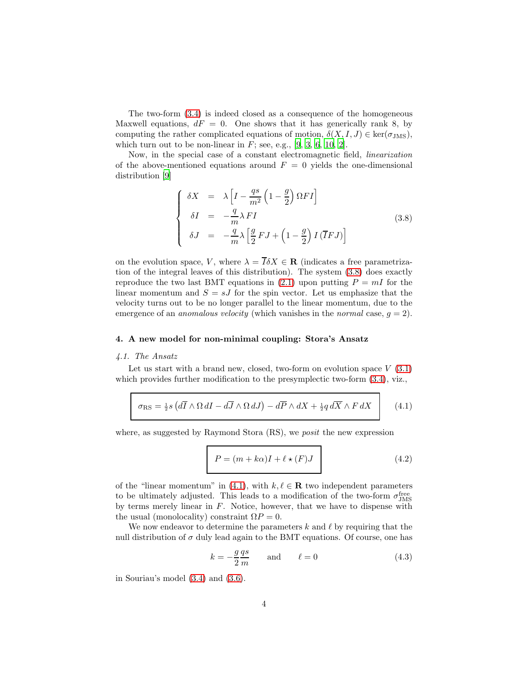The two-form [\(3.4\)](#page-2-5) is indeed closed as a consequence of the homogeneous Maxwell equations,  $dF = 0$ . One shows that it has generically rank 8, by computing the rather complicated equations of motion,  $\delta(X, I, J) \in \text{ker}(\sigma_{\text{JMS}})$ , which turn out to be non-linear in  $F$ ; see, e.g., [\[9](#page-11-3), [3](#page-11-6), [6](#page-11-7), [10](#page-11-4), [2](#page-11-5)].

Now, in the special case of a constant electromagnetic field, linearization of the above-mentioned equations around  $F = 0$  yields the one-dimensional distribution [\[9\]](#page-11-3)

<span id="page-3-2"></span>
$$
\begin{cases}\n\delta X = \lambda \left[ I - \frac{qs}{m^2} \left( 1 - \frac{g}{2} \right) \Omega F I \right] \\
\delta I = -\frac{q}{m} \lambda F I \\
\delta J = -\frac{q}{m} \lambda \left[ \frac{g}{2} F J + \left( 1 - \frac{g}{2} \right) I \left( \overline{I} F J \right) \right]\n\end{cases} (3.8)
$$

on the evolution space, V, where  $\lambda = \overline{I} \delta X \in \mathbf{R}$  (indicates a free parametrization of the integral leaves of this distribution). The system [\(3.8\)](#page-3-2) does exactly reproduce the two last BMT equations in [\(2.1\)](#page-1-1) upon putting  $P = mI$  for the linear momentum and  $S = sJ$  for the spin vector. Let us emphasize that the velocity turns out to be no longer parallel to the linear momentum, due to the emergence of an *anomalous velocity* (which vanishes in the *normal* case,  $q = 2$ ).

### <span id="page-3-0"></span>4. A new model for non-minimal coupling: Stora's Ansatz

# 4.1. The Ansatz

Let us start with a brand new, closed, two-form on evolution space  $V(3.1)$  $V(3.1)$ which provides further modification to the presymplectic two-form  $(3.4)$ , viz.,

<span id="page-3-1"></span>
$$
\sigma_{\rm RS} = \frac{1}{2} s \left( d\overline{I} \wedge \Omega dI - d\overline{J} \wedge \Omega dJ \right) - d\overline{P} \wedge dX + \frac{1}{2} q d\overline{X} \wedge F dX \qquad (4.1)
$$

where, as suggested by Raymond Stora (RS), we *posit* the new expression

<span id="page-3-4"></span>
$$
P = (m + k\alpha)I + \ell \star (F)J
$$
\n(4.2)

of the "linear momentum" in [\(4.1\)](#page-3-1), with  $k, \ell \in \mathbf{R}$  two independent parameters to be ultimately adjusted. This leads to a modification of the two-form  $\sigma_{\rm JMS}^{\rm free}$ by terms merely linear in  $F$ . Notice, however, that we have to dispense with the usual (monolocality) constraint  $\Omega P = 0$ .

We now endeavor to determine the parameters  $k$  and  $\ell$  by requiring that the null distribution of  $\sigma$  duly lead again to the BMT equations. Of course, one has

<span id="page-3-3"></span>
$$
k = -\frac{g}{2}\frac{qs}{m} \quad \text{and} \quad \ell = 0 \tag{4.3}
$$

in Souriau's model [\(3.4\)](#page-2-5) and [\(3.6\)](#page-2-4).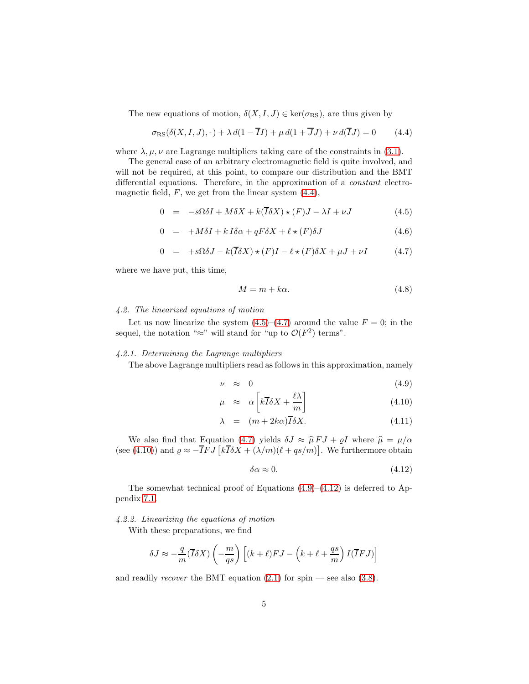The new equations of motion,  $\delta(X, I, J) \in \text{ker}(\sigma_{RS})$ , are thus given by

<span id="page-4-0"></span>
$$
\sigma_{\rm RS}(\delta(X,I,J),\cdot) + \lambda d(1 - \overline{I}I) + \mu d(1 + \overline{J}J) + \nu d(\overline{I}J) = 0 \qquad (4.4)
$$

where  $\lambda, \mu, \nu$  are Lagrange multipliers taking care of the constraints in [\(3.1\)](#page-2-6).

The general case of an arbitrary electromagnetic field is quite involved, and will not be required, at this point, to compare our distribution and the BMT differential equations. Therefore, in the approximation of a constant electromagnetic field,  $F$ , we get from the linear system  $(4.4)$ ,

<span id="page-4-1"></span>
$$
0 = -s\Omega\delta I + M\delta X + k(\overline{I}\delta X) \star (F)J - \lambda I + \nu J \tag{4.5}
$$

$$
0 = +M\delta I + k I \delta \alpha + q F \delta X + \ell \star (F) \delta J \tag{4.6}
$$

$$
0 = +s\Omega\delta J - k(\overline{I}\delta X) \star (F)I - \ell \star (F)\delta X + \mu J + \nu I \tag{4.7}
$$

where we have put, this time,

<span id="page-4-4"></span>
$$
M = m + k\alpha. \tag{4.8}
$$

### 4.2. The linearized equations of motion

Let us now linearize the system  $(4.5)$ – $(4.7)$  around the value  $F = 0$ ; in the sequel, the notation " $\approx$ " will stand for "up to  $\mathcal{O}(F^2)$  terms".

## 4.2.1. Determining the Lagrange multipliers

The above Lagrange multipliers read as follows in this approximation, namely

<span id="page-4-2"></span>
$$
\nu \approx 0 \tag{4.9}
$$

$$
\mu \approx \alpha \left[ k \overline{I} \delta X + \frac{\ell \lambda}{m} \right] \tag{4.10}
$$

$$
\lambda = (m + 2k\alpha)\overline{I}\delta X. \tag{4.11}
$$

We also find that Equation [\(4.7\)](#page-4-1) yields  $\delta J \approx \hat{\mu} F J + \varrho I$  where  $\hat{\mu} = \mu/\alpha$ (see [\(4.10\)](#page-4-2)) and  $\rho \approx -\overline{IFJ} \left[ k \overline{I} \delta X + (\lambda/m)(\ell + q s/m) \right]$ . We furthermore obtain

<span id="page-4-3"></span>
$$
\delta \alpha \approx 0. \tag{4.12}
$$

The somewhat technical proof of Equations  $(4.9)$ – $(4.12)$  is deferred to Appendix [7.1.](#page-11-8)

#### 4.2.2. Linearizing the equations of motion

With these preparations, we find

$$
\delta J \approx -\frac{q}{m}(\overline{I}\delta X)\left(-\frac{m}{qs}\right)\left[(k+\ell)FJ-\left(k+\ell+\frac{qs}{m}\right)I(\overline{I}FJ)\right]
$$

and readily *recover* the BMT equation  $(2.1)$  for spin — see also  $(3.8)$ .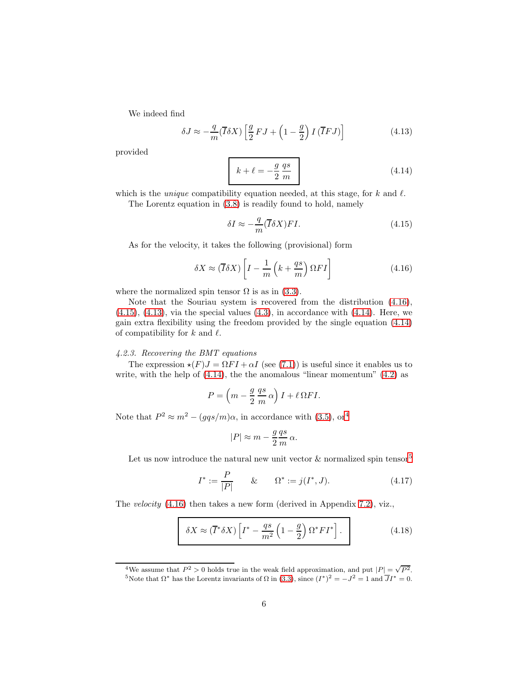We indeed find

<span id="page-5-2"></span>
$$
\delta J \approx -\frac{q}{m} (\overline{I}\delta X) \left[ \frac{g}{2} FJ + \left( 1 - \frac{g}{2} \right) I (\overline{I}FJ) \right]
$$
(4.13)

provided

<span id="page-5-3"></span>
$$
k + \ell = -\frac{g}{2} \frac{qs}{m}
$$
 (4.14)

which is the *unique* compatibility equation needed, at this stage, for  $k$  and  $\ell$ .

The Lorentz equation in [\(3.8\)](#page-3-2) is readily found to hold, namely

<span id="page-5-1"></span>
$$
\delta I \approx -\frac{q}{m} (\overline{I} \delta X) FI. \tag{4.15}
$$

As for the velocity, it takes the following (provisional) form

<span id="page-5-0"></span>
$$
\delta X \approx (\overline{I}\delta X) \left[ I - \frac{1}{m} \left( k + \frac{qs}{m} \right) \Omega F I \right]
$$
\n(4.16)

where the normalized spin tensor  $\Omega$  is as in [\(3.3\)](#page-2-7).

Note that the Souriau system is recovered from the distribution [\(4.16\)](#page-5-0),  $(4.15)$ ,  $(4.13)$ , via the special values  $(4.3)$ , in accordance with  $(4.14)$ . Here, we gain extra flexibility using the freedom provided by the single equation [\(4.14\)](#page-5-3) of compatibility for  $k$  and  $\ell$ .

## 4.2.3. Recovering the BMT equations

The expression  $\star(F)J = \Omega F I + \alpha I$  (see [\(7.1\)](#page-11-9)) is useful since it enables us to write, with the help of  $(4.14)$ , the the anomalous "linear momentum"  $(4.2)$  as

$$
P = \left(m - \frac{g}{2} \frac{qs}{m} \alpha\right) I + \ell \Omega F I.
$$

Note that  $P^2 \approx m^2 - (gqs/m)\alpha$ , in accordance with [\(3.5\)](#page-2-8), or<sup>[4](#page-5-4)</sup>

$$
|P| \approx m - \frac{g}{2} \frac{qs}{m} \alpha.
$$

Let us now introduce the natural new unit vector  $\&$  normalized spin tensor<sup>[5](#page-5-5)</sup>

<span id="page-5-7"></span>
$$
I^* := \frac{P}{|P|} \qquad & \qquad \Omega^* := j(I^*, J). \tag{4.17}
$$

The velocity [\(4.16\)](#page-5-0) then takes a new form (derived in Appendix [7.2\)](#page-12-0), viz.,

<span id="page-5-6"></span>
$$
\delta X \approx (\overline{I}^* \delta X) \left[ I^* - \frac{qs}{m^2} \left( 1 - \frac{g}{2} \right) \Omega^* F I^* \right]. \tag{4.18}
$$

<span id="page-5-5"></span><span id="page-5-4"></span><sup>&</sup>lt;sup>4</sup>We assume that  $P^2 > 0$  holds true in the weak field approximation, and put  $|P| = \sqrt{P^2}$ . <sup>5</sup>Note that  $\Omega^*$  has the Lorentz invariants of  $\Omega$  in [\(3.3\)](#page-2-7), since  $(I^*)^2 = -J^2 = 1$  and  $\overline{J}I^* = 0$ .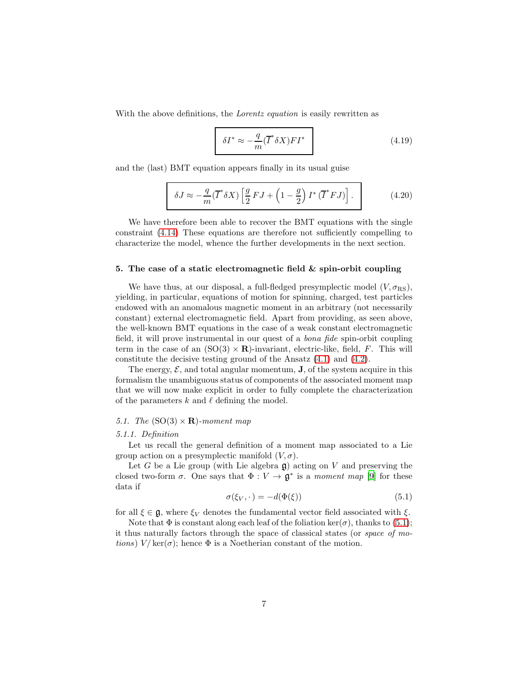With the above definitions, the *Lorentz equation* is easily rewritten as

<span id="page-6-1"></span>
$$
\delta I^* \approx -\frac{q}{m} (\overline{I}^* \delta X) F I^* \tag{4.19}
$$

and the (last) BMT equation appears finally in its usual guise

<span id="page-6-2"></span>
$$
\delta J \approx -\frac{q}{m} (\overline{I}^* \delta X) \left[ \frac{g}{2} F J + \left( 1 - \frac{g}{2} \right) I^* (\overline{I}^* F J) \right]. \tag{4.20}
$$

We have therefore been able to recover the BMT equations with the single constraint [\(4.14\)](#page-5-3) These equations are therefore not sufficiently compelling to characterize the model, whence the further developments in the next section.

#### 5. The case of a static electromagnetic field  $\&$  spin-orbit coupling

We have thus, at our disposal, a full-fledged presymplectic model  $(V, \sigma_{\text{RS}})$ , yielding, in particular, equations of motion for spinning, charged, test particles endowed with an anomalous magnetic moment in an arbitrary (not necessarily constant) external electromagnetic field. Apart from providing, as seen above, the well-known BMT equations in the case of a weak constant electromagnetic field, it will prove instrumental in our quest of a bona fide spin-orbit coupling term in the case of an  $(SO(3) \times \mathbf{R})$ -invariant, electric-like, field, F. This will constitute the decisive testing ground of the Ansatz [\(4.1\)](#page-3-1) and [\(4.2\)](#page-3-4).

The energy,  $\mathcal{E}$ , and total angular momentum, **J**, of the system acquire in this formalism the unambiguous status of components of the associated moment map that we will now make explicit in order to fully complete the characterization of the parameters k and  $\ell$  defining the model.

### 5.1. The  $(SO(3) \times \mathbf{R})$ -moment map

#### 5.1.1. Definition

Let us recall the general definition of a moment map associated to a Lie group action on a presymplectic manifold  $(V, \sigma)$ .

Let G be a Lie group (with Lie algebra  $\mathfrak{g}$ ) acting on V and preserving the closed two-form  $\sigma$ . One says that  $\Phi: V \to \mathfrak{g}^*$  is a *moment map* [\[9\]](#page-11-3) for these data if

<span id="page-6-0"></span>
$$
\sigma(\xi_V, \cdot) = -d(\Phi(\xi))\tag{5.1}
$$

for all  $\xi \in \mathfrak{g}$ , where  $\xi_V$  denotes the fundamental vector field associated with  $\xi$ .

Note that  $\Phi$  is constant along each leaf of the foliation ker( $\sigma$ ), thanks to [\(5.1\)](#page-6-0); it thus naturally factors through the space of classical states (or space of motions)  $V/\text{ker}(\sigma)$ ; hence  $\Phi$  is a Noetherian constant of the motion.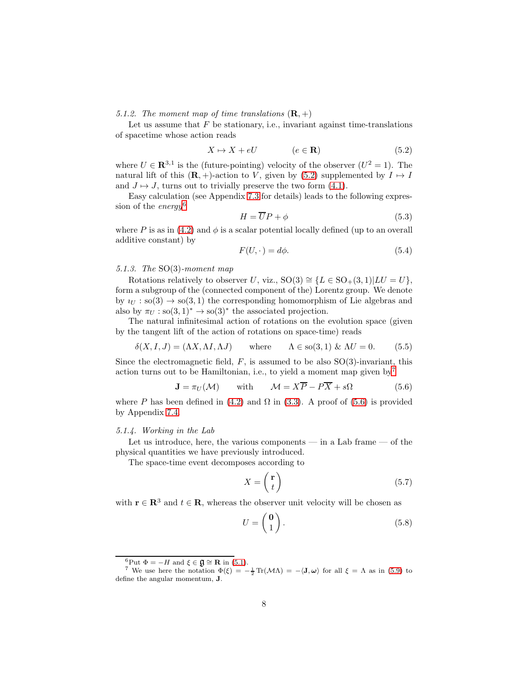5.1.2. The moment map of time translations  $(\mathbf{R}, +)$ 

Let us assume that  $F$  be stationary, i.e., invariant against time-translations of spacetime whose action reads

<span id="page-7-0"></span>
$$
X \mapsto X + eU \qquad (e \in \mathbf{R}) \tag{5.2}
$$

where  $U \in \mathbb{R}^{3,1}$  is the (future-pointing) velocity of the observer  $(U^2 = 1)$ . The natural lift of this  $(\mathbf{R}, +)$ -action to V, given by  $(5.2)$  supplemented by  $I \mapsto I$ and  $J \mapsto J$ , turns out to trivially preserve the two form [\(4.1\)](#page-3-1).

Easy calculation (see Appendix [7.3](#page-13-0) for details) leads to the following expres-sion of the energy<sup>[6](#page-7-1)</sup>

<span id="page-7-6"></span>
$$
H = \overline{U}P + \phi \tag{5.3}
$$

where P is as in [\(4.2\)](#page-3-4) and  $\phi$  is a scalar potential locally defined (up to an overall additive constant) by

<span id="page-7-5"></span>
$$
F(U, \cdot) = d\phi. \tag{5.4}
$$

### 5.1.3. The SO(3)-moment map

Rotations relatively to observer U, viz.,  $SO(3) \cong \{L \in SO_+(3,1)|LU = U\},\$ form a subgroup of the (connected component of the) Lorentz group. We denote by  $u_{U}$ : so(3)  $\rightarrow$  so(3, 1) the corresponding homomorphism of Lie algebras and also by  $\pi_U : \text{so}(3,1)^* \to \text{so}(3)^*$  the associated projection.

The natural infinitesimal action of rotations on the evolution space (given by the tangent lift of the action of rotations on space-time) reads

<span id="page-7-4"></span>
$$
\delta(X, I, J) = (\Lambda X, \Lambda I, \Lambda J) \quad \text{where} \quad \Lambda \in \text{so}(3, 1) \& \Delta U = 0. \tag{5.5}
$$

Since the electromagnetic field,  $F$ , is assumed to be also  $SO(3)$ -invariant, this action turns out to be Hamiltonian, i.e., to yield a moment map given by<sup>[7](#page-7-2)</sup>

<span id="page-7-3"></span>
$$
\mathbf{J} = \pi_U(\mathcal{M}) \quad \text{with} \quad \mathcal{M} = X\overline{P} - P\overline{X} + s\Omega \tag{5.6}
$$

where P has been defined in [\(4.2\)](#page-3-4) and  $\Omega$  in [\(3.3\)](#page-2-7). A proof of [\(5.6\)](#page-7-3) is provided by Appendix [7.4.](#page-13-1)

#### 5.1.4. Working in the Lab

Let us introduce, here, the various components — in a Lab frame — of the physical quantities we have previously introduced.

The space-time event decomposes according to

<span id="page-7-7"></span>
$$
X = \begin{pmatrix} \mathbf{r} \\ t \end{pmatrix} \tag{5.7}
$$

with  $\mathbf{r} \in \mathbb{R}^3$  and  $t \in \mathbb{R}$ , whereas the observer unit velocity will be chosen as

$$
U = \begin{pmatrix} \mathbf{0} \\ 1 \end{pmatrix}.
$$
 (5.8)

<span id="page-7-1"></span> ${}^{6}$ Put  $\Phi = -H$  and  $\xi \in \mathfrak{g} \cong \mathbf{R}$  in [\(5.1\)](#page-6-0).

<span id="page-7-2"></span><sup>&</sup>lt;sup>7</sup> We use here the notation  $\Phi(\xi) = -\frac{1}{2} \text{Tr}(\mathcal{M}\Lambda) = -\langle \mathbf{J}, \boldsymbol{\omega} \rangle$  for all  $\xi = \Lambda$  as in [\(5.9\)](#page-8-0) to define the angular momentum, J.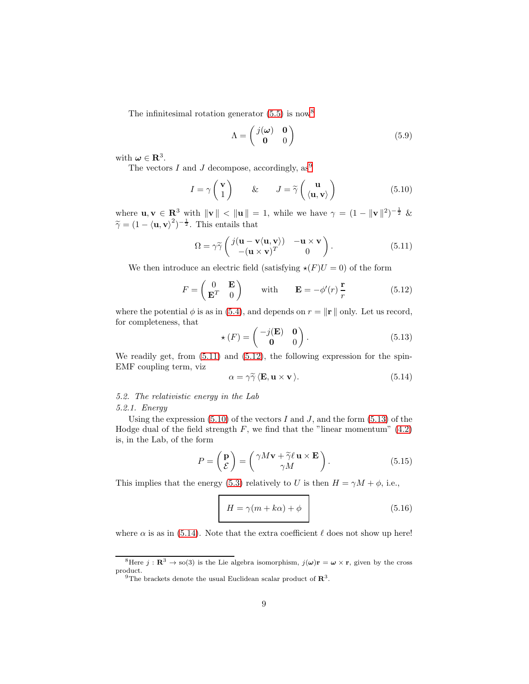The infinitesimal rotation generator  $(5.5)$  is now<sup>[8](#page-8-1)</sup>

<span id="page-8-0"></span>
$$
\Lambda = \begin{pmatrix} j(\omega) & \mathbf{0} \\ \mathbf{0} & 0 \end{pmatrix} \tag{5.9}
$$

with  $\boldsymbol{\omega} \in \mathbb{R}^3$ .

The vectors I and J decompose, accordingly,  $as^9$  $as^9$ 

<span id="page-8-5"></span>
$$
I = \gamma \begin{pmatrix} \mathbf{v} \\ 1 \end{pmatrix} \qquad \& \qquad J = \widetilde{\gamma} \begin{pmatrix} \mathbf{u} \\ \langle \mathbf{u}, \mathbf{v} \rangle \end{pmatrix} \tag{5.10}
$$

where  $\mathbf{u}, \mathbf{v} \in \mathbb{R}^3$  with  $\|\mathbf{v}\| < \|\mathbf{u}\| = 1$ , while we have  $\gamma = (1 - \|\mathbf{v}\|^2)^{-\frac{1}{2}}$  &  $\widetilde{\gamma} = (1 - \langle \mathbf{u}, \mathbf{v} \rangle^2)^{-\frac{1}{2}}$ . This entails that

<span id="page-8-3"></span>
$$
\Omega = \gamma \widetilde{\gamma} \begin{pmatrix} j(\mathbf{u} - \mathbf{v}\langle \mathbf{u}, \mathbf{v} \rangle) & -\mathbf{u} \times \mathbf{v} \\ -(\mathbf{u} \times \mathbf{v})^T & 0 \end{pmatrix} . \tag{5.11}
$$

We then introduce an electric field (satisfying  $\star(F)U = 0$ ) of the form

<span id="page-8-4"></span>
$$
F = \begin{pmatrix} 0 & \mathbf{E} \\ \mathbf{E}^T & 0 \end{pmatrix} \quad \text{with} \quad \mathbf{E} = -\phi'(r) \frac{\mathbf{r}}{r} \tag{5.12}
$$

where the potential  $\phi$  is as in [\(5.4\)](#page-7-5), and depends on  $r = ||\mathbf{r}||$  only. Let us record, for completeness, that

<span id="page-8-6"></span>
$$
\star(F) = \begin{pmatrix} -j(E) & \mathbf{0} \\ \mathbf{0} & 0 \end{pmatrix}.
$$
 (5.13)

We readily get, from  $(5.11)$  and  $(5.12)$ , the following expression for the spin-EMF coupling term, viz

<span id="page-8-7"></span>
$$
\alpha = \gamma \widetilde{\gamma} \, \langle \mathbf{E}, \mathbf{u} \times \mathbf{v} \rangle. \tag{5.14}
$$

# 5.2. The relativistic energy in the Lab

### 5.2.1. Energy

Using the expression  $(5.10)$  of the vectors I and J, and the form  $(5.13)$  of the Hodge dual of the field strength  $F$ , we find that the "linear momentum"  $(4.2)$ is, in the Lab, of the form

<span id="page-8-8"></span>
$$
P = \begin{pmatrix} \mathbf{p} \\ \mathcal{E} \end{pmatrix} = \begin{pmatrix} \gamma M \mathbf{v} + \tilde{\gamma} \ell \mathbf{u} \times \mathbf{E} \\ \gamma M \end{pmatrix}.
$$
 (5.15)

This implies that the energy [\(5.3\)](#page-7-6) relatively to U is then  $H = \gamma M + \phi$ , i.e.,

<span id="page-8-9"></span>
$$
H = \gamma(m + k\alpha) + \phi \tag{5.16}
$$

where  $\alpha$  is as in [\(5.14\)](#page-8-7). Note that the extra coefficient  $\ell$  does not show up here!

<sup>&</sup>lt;sup>8</sup>Here  $j : \mathbb{R}^3 \to \text{so}(3)$  is the Lie algebra isomorphism,  $j(\omega)\mathbf{r} = \omega \times \mathbf{r}$ , given by the cross product.

<span id="page-8-2"></span><span id="page-8-1"></span><sup>&</sup>lt;sup>9</sup>The brackets denote the usual Euclidean scalar product of  $\mathbb{R}^3$ .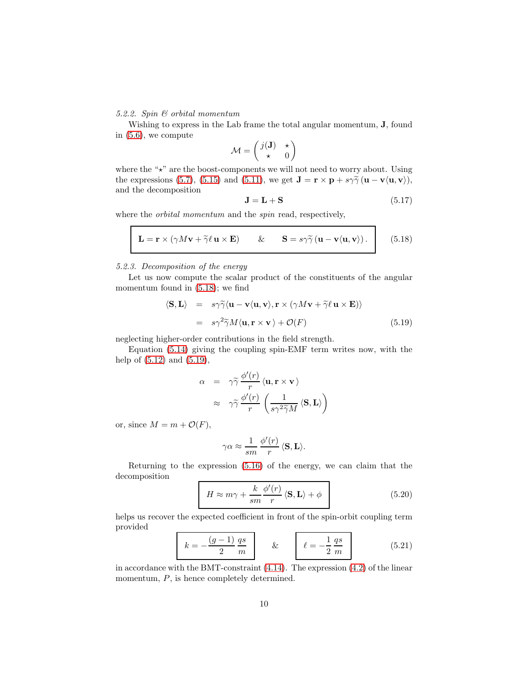# 5.2.2. Spin & orbital momentum

Wishing to express in the Lab frame the total angular momentum, J, found in [\(5.6\)](#page-7-3), we compute

$$
\mathcal{M} = \begin{pmatrix} j(\mathbf{J}) & \star \\ \star & 0 \end{pmatrix}
$$

where the " $\star$ " are the boost-components we will not need to worry about. Using the expressions [\(5.7\)](#page-7-7), [\(5.15\)](#page-8-8) and [\(5.11\)](#page-8-3), we get  $\mathbf{J} = \mathbf{r} \times \mathbf{p} + s\gamma \tilde{\gamma} (\mathbf{u} - \mathbf{v} \langle \mathbf{u}, \mathbf{v} \rangle)$ , and the decomposition

$$
\mathbf{J} = \mathbf{L} + \mathbf{S} \tag{5.17}
$$

where the *orbital momentum* and the *spin* read, respectively,

<span id="page-9-1"></span>
$$
\mathbf{L} = \mathbf{r} \times (\gamma M \mathbf{v} + \tilde{\gamma} \ell \mathbf{u} \times \mathbf{E}) \qquad \& \qquad \mathbf{S} = s\gamma \tilde{\gamma} (\mathbf{u} - \mathbf{v} \langle \mathbf{u}, \mathbf{v} \rangle). \qquad (5.18)
$$

### 5.2.3. Decomposition of the energy

Let us now compute the scalar product of the constituents of the angular momentum found in [\(5.18\)](#page-9-1); we find

<span id="page-9-2"></span>
$$
\langle \mathbf{S}, \mathbf{L} \rangle = s \gamma \widetilde{\gamma} \langle \mathbf{u} - \mathbf{v} \langle \mathbf{u}, \mathbf{v} \rangle, \mathbf{r} \times (\gamma M \mathbf{v} + \widetilde{\gamma} \ell \mathbf{u} \times \mathbf{E}) \rangle = s \gamma^2 \widetilde{\gamma} M \langle \mathbf{u}, \mathbf{r} \times \mathbf{v} \rangle + \mathcal{O}(F)
$$
(5.19)

neglecting higher-order contributions in the field strength.

Equation [\(5.14\)](#page-8-7) giving the coupling spin-EMF term writes now, with the help of [\(5.12\)](#page-8-4) and [\(5.19\)](#page-9-2),

$$
\alpha = \gamma \widetilde{\gamma} \frac{\phi'(r)}{r} \langle \mathbf{u}, \mathbf{r} \times \mathbf{v} \rangle
$$

$$
\approx \gamma \widetilde{\gamma} \frac{\phi'(r)}{r} \left( \frac{1}{s \gamma^2 \widetilde{\gamma} M} \langle \mathbf{S}, \mathbf{L} \rangle \right)
$$

or, since  $M = m + \mathcal{O}(F)$ ,

$$
\gamma\alpha \approx \frac{1}{sm}\,\frac{\phi'(r)}{r}\,\langle{\bf S},{\bf L}\rangle.
$$

Returning to the expression [\(5.16\)](#page-8-9) of the energy, we can claim that the decomposition

<span id="page-9-3"></span>
$$
H \approx m\gamma + \frac{k}{sm} \frac{\phi'(r)}{r} \langle \mathbf{S}, \mathbf{L} \rangle + \phi
$$
 (5.20)

helps us recover the expected coefficient in front of the spin-orbit coupling term provided

<span id="page-9-0"></span>
$$
k = -\frac{(g-1)}{2}\frac{qs}{m}
$$
 \t\t\t  $\ell = -\frac{1}{2}\frac{qs}{m}$  \t\t (5.21)

in accordance with the BMT-constraint [\(4.14\)](#page-5-3). The expression [\(4.2\)](#page-3-4) of the linear momentum,  $P$ , is hence completely determined.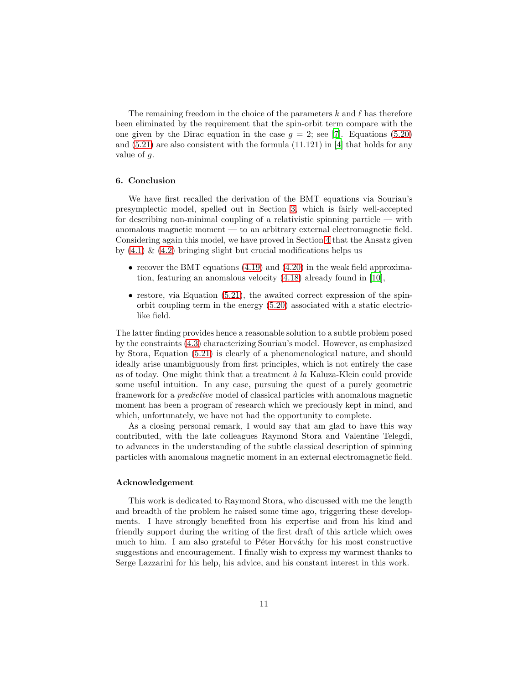The remaining freedom in the choice of the parameters k and  $\ell$  has therefore been eliminated by the requirement that the spin-orbit term compare with the one given by the Dirac equation in the case  $g = 2$ ; see [\[7\]](#page-11-10). Equations [\(5.20\)](#page-9-3) and  $(5.21)$  are also consistent with the formula  $(11.121)$  in [\[4\]](#page-11-11) that holds for any value of g.

## 6. Conclusion

We have first recalled the derivation of the BMT equations via Souriau's presymplectic model, spelled out in Section [3,](#page-2-0) which is fairly well-accepted for describing non-minimal coupling of a relativistic spinning particle — with anomalous magnetic moment — to an arbitrary external electromagnetic field. Considering again this model, we have proved in Section [4](#page-3-0) that the Ansatz given by  $(4.1) \& (4.2)$  $(4.1) \& (4.2)$  bringing slight but crucial modifications helps us

- recover the BMT equations  $(4.19)$  and  $(4.20)$  in the weak field approximation, featuring an anomalous velocity [\(4.18\)](#page-5-6) already found in [\[10\]](#page-11-4),
- $\bullet$  restore, via Equation [\(5.21\)](#page-9-0), the awaited correct expression of the spinorbit coupling term in the energy [\(5.20\)](#page-9-3) associated with a static electriclike field.

The latter finding provides hence a reasonable solution to a subtle problem posed by the constraints [\(4.3\)](#page-3-3) characterizing Souriau's model. However, as emphasized by Stora, Equation [\(5.21\)](#page-9-0) is clearly of a phenomenological nature, and should ideally arise unambiguously from first principles, which is not entirely the case as of today. One might think that a treatment  $\dot{a}$  la Kaluza-Klein could provide some useful intuition. In any case, pursuing the quest of a purely geometric framework for a predictive model of classical particles with anomalous magnetic moment has been a program of research which we preciously kept in mind, and which, unfortunately, we have not had the opportunity to complete.

As a closing personal remark, I would say that am glad to have this way contributed, with the late colleagues Raymond Stora and Valentine Telegdi, to advances in the understanding of the subtle classical description of spinning particles with anomalous magnetic moment in an external electromagnetic field.

### Acknowledgement

This work is dedicated to Raymond Stora, who discussed with me the length and breadth of the problem he raised some time ago, triggering these developments. I have strongly benefited from his expertise and from his kind and friendly support during the writing of the first draft of this article which owes much to him. I am also grateful to Péter Horváthy for his most constructive suggestions and encouragement. I finally wish to express my warmest thanks to Serge Lazzarini for his help, his advice, and his constant interest in this work.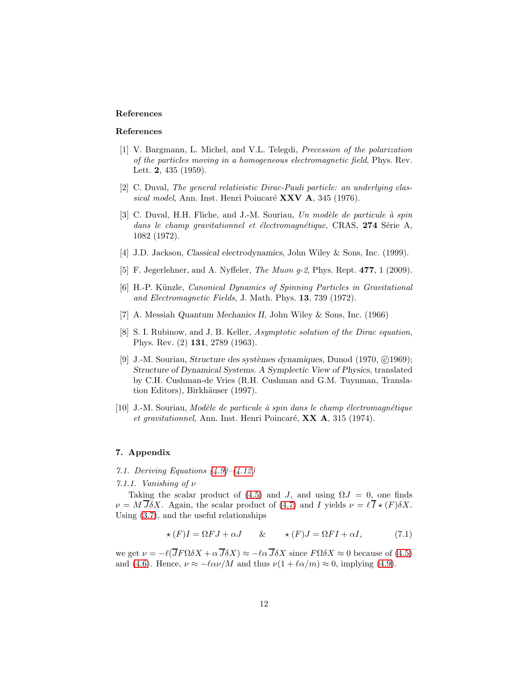# References

### References

- <span id="page-11-0"></span>[1] V. Bargmann, L. Michel, and V.L. Telegdi, Precession of the polarization of the particles moving in a homogeneous electromagnetic field, Phys. Rev. Lett. 2, 435 (1959).
- <span id="page-11-5"></span>[2] C. Duval, The general relativistic Dirac-Pauli particle: an underlying classical model, Ann. Inst. Henri Poincaré  $\bf XXV$  A, 345 (1976).
- <span id="page-11-6"></span>[3] C. Duval, H.H. Fliche, and J.-M. Souriau, Un modèle de particule à spin dans le champ gravitationnel et électromagnétique, CRAS, 274 Série A, 1082 (1972).
- <span id="page-11-11"></span>[4] J.D. Jackson, Classical electrodynamics, John Wiley & Sons, Inc. (1999).
- <span id="page-11-1"></span>[5] F. Jegerlehner, and A. Nyffeler, The Muon g-2, Phys. Rept. 477, 1 (2009).
- <span id="page-11-7"></span>[6] H.-P. K¨unzle, Canonical Dynamics of Spinning Particles in Gravitational and Electromagnetic Fields, J. Math. Phys. 13, 739 (1972).
- <span id="page-11-10"></span>[7] A. Messiah Quantum Mechanics II, John Wiley & Sons, Inc. (1966)
- <span id="page-11-2"></span>[8] S. I. Rubinow, and J. B. Keller, Asymptotic solution of the Dirac equation, Phys. Rev. (2) 131, 2789 (1963).
- <span id="page-11-3"></span>[9] J.-M. Souriau, *Structure des systèmes dynamiques*, Dunod  $(1970, \textcircled{c}1969)$ ; Structure of Dynamical Systems. A Symplectic View of Physics, translated by C.H. Cushman-de Vries (R.H. Cushman and G.M. Tuynman, Translation Editors), Birkhäuser (1997).
- <span id="page-11-4"></span> $[10]$  J.-M. Souriau, Modèle de particule à spin dans le champ électromagnétique et gravitationnel, Ann. Inst. Henri Poincaré,  $\bf XX A$ , 315 (1974).

### <span id="page-11-8"></span>7. Appendix

- 7.1. Deriving Equations  $(4.9)$ – $(4.12)$
- 7.1.1. Vanishing of  $\nu$

Taking the scalar product of [\(4.5\)](#page-4-1) and J, and using  $\Omega J = 0$ , one finds  $\nu = M \overline{J} \delta X$ . Again, the scalar product of [\(4.7\)](#page-4-1) and I yields  $\nu = \ell \overline{I} \star (F) \delta X$ . Using [\(3.7\)](#page-2-9), and the useful relationships

<span id="page-11-9"></span>
$$
\star(F)I = \Omega FJ + \alpha J \qquad \& \qquad \star(F)J = \Omega FI + \alpha I, \tag{7.1}
$$

we get  $\nu = -\ell(\overline{J}F\Omega\delta X + \alpha \overline{J}\delta X) \approx -\ell\alpha \overline{J}\delta X$  since  $F\Omega\delta X \approx 0$  because of [\(4.5\)](#page-4-1) and [\(4.6\)](#page-4-1). Hence,  $\nu \approx -\ell \alpha \nu / M$  and thus  $\nu(1 + \ell \alpha / m) \approx 0$ , implying [\(4.9\)](#page-4-2).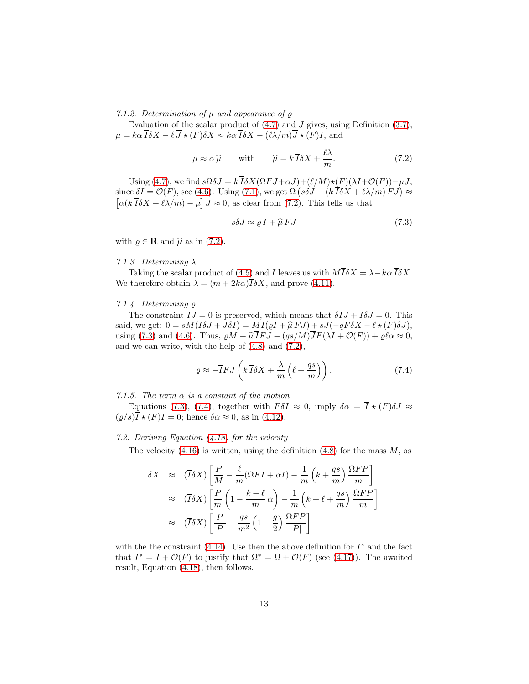7.1.2. Determination of  $\mu$  and appearance of  $\rho$ 

Evaluation of the scalar product of  $(4.7)$  and J gives, using Definition  $(3.7)$ ,  $\mu = k\alpha \overline{I} \delta X - \ell \overline{J} \star (F) \delta X \approx k\alpha \overline{I} \delta X - (\ell \lambda/m) \overline{J} \star (F)I$ , and

<span id="page-12-1"></span>
$$
\mu \approx \alpha \,\hat{\mu} \qquad \text{with} \qquad \hat{\mu} = k \,\overline{I} \delta X + \frac{\ell \lambda}{m}.\tag{7.2}
$$

Using [\(4.7\)](#page-4-1), we find  $s\Omega \delta J = k \overline{I} \delta X(\Omega F J + \alpha J) + (\ell/M) \star (F)(\lambda I + \mathcal{O}(F)) - \mu J$ , since  $\delta I = \mathcal{O}(F)$ , see [\(4.6\)](#page-4-1). Using [\(7.1\)](#page-11-9), we get  $\Omega \left( s \delta J - (k \overline{I} \delta X + l \lambda / m) F J \right) \approx$  $\left[\alpha(k \overline{I} \delta X + \ell \lambda / m) - \mu\right] J \approx 0$ , as clear from [\(7.2\)](#page-12-1). This tells us that

<span id="page-12-2"></span>
$$
s\delta J \approx \varrho \, I + \widehat{\mu} \, FJ \tag{7.3}
$$

with  $\varrho \in \mathbf{R}$  and  $\hat{\mu}$  as in [\(7.2\)](#page-12-1).

## 7.1.3. Determining  $\lambda$

Taking the scalar product of [\(4.5\)](#page-4-1) and I leaves us with  $M\overline{I}\delta X = \lambda - k\alpha \overline{I}\delta X$ . We therefore obtain  $\lambda = (m + 2k\alpha)\overline{I}\delta X$ , and prove [\(4.11\)](#page-4-2).

# 7.1.4. Determining ̺

The constraint  $\overline{I}J = 0$  is preserved, which means that  $\delta \overline{I}J + \overline{I}\delta J = 0$ . This said, we get:  $0 = sM(\overline{I}\delta J + \overline{J}\delta I) = M\overline{I}(\varrho I + \widehat{\mu} \, FJ) + s\overline{J}(-qF\delta X - \ell \star (F)\delta J),$ using [\(7.3\)](#page-12-2) and [\(4.6\)](#page-4-1). Thus,  $\varrho M + \widehat{\mu} \overline{I} F J - (q s / M) \overline{J} F (\lambda I + \mathcal{O}(F)) + \varrho \ell \alpha \approx 0$ , and we can write, with the help of  $(4.8)$  and  $(7.2)$ ,

<span id="page-12-3"></span>
$$
\varrho \approx -\overline{I}FJ\left(k\,\overline{I}\delta X + \frac{\lambda}{m}\left(\ell + \frac{qs}{m}\right)\right). \tag{7.4}
$$

### 7.1.5. The term  $\alpha$  is a constant of the motion

Equations [\(7.3\)](#page-12-2), [\(7.4\)](#page-12-3), together with  $F\delta I \approx 0$ , imply  $\delta \alpha = \overline{I} \star (F) \delta J \approx$  $(\rho/s)\overline{I} \star (F)I = 0$ ; hence  $\delta \alpha \approx 0$ , as in [\(4.12\)](#page-4-3).

### <span id="page-12-0"></span>7.2. Deriving Equation [\(4.18\)](#page-5-6) for the velocity

The velocity  $(4.16)$  is written, using the definition  $(4.8)$  for the mass M, as

$$
\delta X \approx (\overline{I}\delta X) \left[ \frac{P}{M} - \frac{\ell}{m} (\Omega F I + \alpha I) - \frac{1}{m} \left( k + \frac{qs}{m} \right) \frac{\Omega FP}{m} \right]
$$

$$
\approx (\overline{I}\delta X) \left[ \frac{P}{m} \left( 1 - \frac{k + \ell}{m} \alpha \right) - \frac{1}{m} \left( k + \ell + \frac{qs}{m} \right) \frac{\Omega FP}{m} \right]
$$

$$
\approx (\overline{I}\delta X) \left[ \frac{P}{|P|} - \frac{qs}{m^2} \left( 1 - \frac{g}{2} \right) \frac{\Omega FP}{|P|} \right]
$$

with the the constraint  $(4.14)$ . Use then the above definition for  $I^*$  and the fact that  $I^* = I + \mathcal{O}(F)$  to justify that  $\Omega^* = \Omega + \mathcal{O}(F)$  (see [\(4.17\)](#page-5-7)). The awaited result, Equation [\(4.18\)](#page-5-6), then follows.